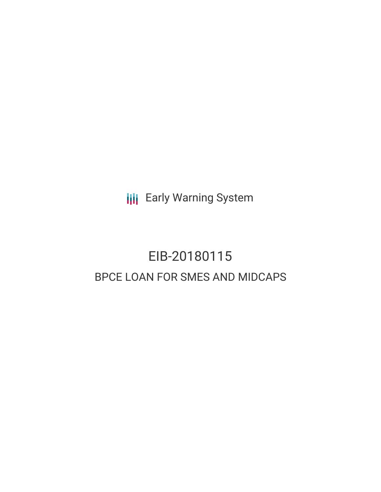**III** Early Warning System

# EIB-20180115 BPCE LOAN FOR SMES AND MIDCAPS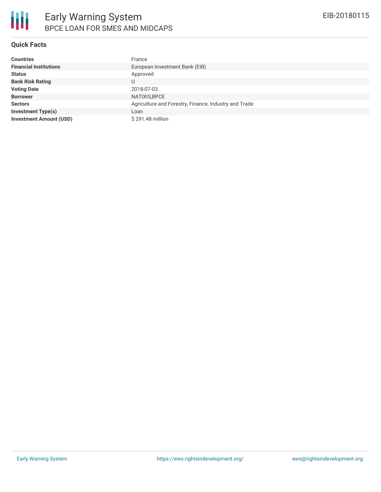

#### **Quick Facts**

| <b>Countries</b>               | France                                                |
|--------------------------------|-------------------------------------------------------|
| <b>Financial Institutions</b>  | European Investment Bank (EIB)                        |
| <b>Status</b>                  | Approved                                              |
| <b>Bank Risk Rating</b>        | U                                                     |
| <b>Voting Date</b>             | 2018-07-03                                            |
| <b>Borrower</b>                | NATIXIS, BPCE                                         |
| <b>Sectors</b>                 | Agriculture and Forestry, Finance, Industry and Trade |
| <b>Investment Type(s)</b>      | Loan                                                  |
| <b>Investment Amount (USD)</b> | \$291.48 million                                      |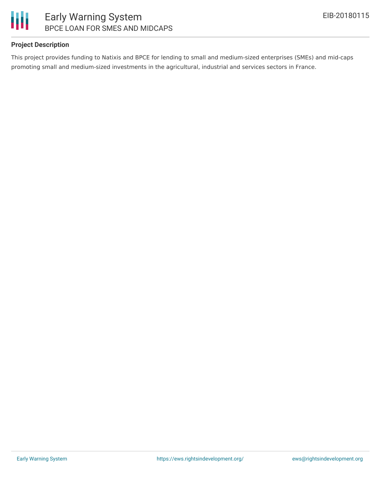

# Early Warning System BPCE LOAN FOR SMES AND MIDCAPS

# **Project Description**

This project provides funding to Natixis and BPCE for lending to small and medium-sized enterprises (SMEs) and mid-caps promoting small and medium-sized investments in the agricultural, industrial and services sectors in France.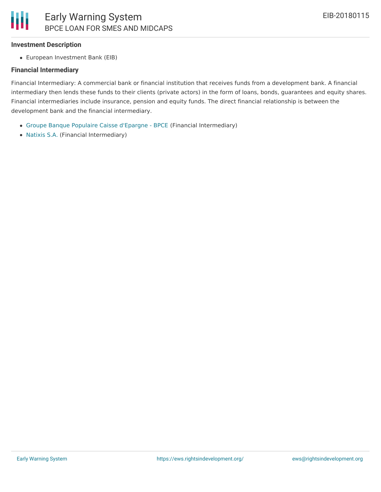#### **Investment Description**

European Investment Bank (EIB)

#### **Financial Intermediary**

Financial Intermediary: A commercial bank or financial institution that receives funds from a development bank. A financial intermediary then lends these funds to their clients (private actors) in the form of loans, bonds, guarantees and equity shares. Financial intermediaries include insurance, pension and equity funds. The direct financial relationship is between the development bank and the financial intermediary.

- Groupe Banque Populaire Caisse [d'Epargne](file:///actor/112/) BPCE (Financial Intermediary)
- [Natixis](file:///actor/749/) S.A. (Financial Intermediary)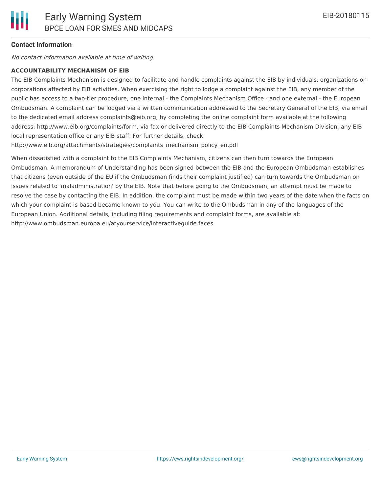### **Contact Information**

No contact information available at time of writing.

#### **ACCOUNTABILITY MECHANISM OF EIB**

The EIB Complaints Mechanism is designed to facilitate and handle complaints against the EIB by individuals, organizations or corporations affected by EIB activities. When exercising the right to lodge a complaint against the EIB, any member of the public has access to a two-tier procedure, one internal - the Complaints Mechanism Office - and one external - the European Ombudsman. A complaint can be lodged via a written communication addressed to the Secretary General of the EIB, via email to the dedicated email address complaints@eib.org, by completing the online complaint form available at the following address: http://www.eib.org/complaints/form, via fax or delivered directly to the EIB Complaints Mechanism Division, any EIB local representation office or any EIB staff. For further details, check:

http://www.eib.org/attachments/strategies/complaints\_mechanism\_policy\_en.pdf

When dissatisfied with a complaint to the EIB Complaints Mechanism, citizens can then turn towards the European Ombudsman. A memorandum of Understanding has been signed between the EIB and the European Ombudsman establishes that citizens (even outside of the EU if the Ombudsman finds their complaint justified) can turn towards the Ombudsman on issues related to 'maladministration' by the EIB. Note that before going to the Ombudsman, an attempt must be made to resolve the case by contacting the EIB. In addition, the complaint must be made within two years of the date when the facts on which your complaint is based became known to you. You can write to the Ombudsman in any of the languages of the European Union. Additional details, including filing requirements and complaint forms, are available at: http://www.ombudsman.europa.eu/atyourservice/interactiveguide.faces